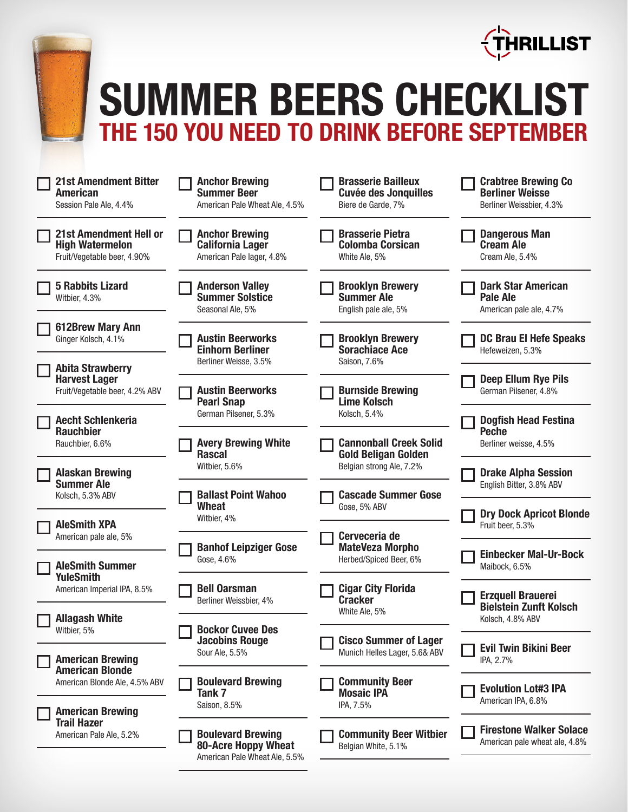



## **SUMMER BEERS CHECKLIST THE 150 YOU NEED TO DRINK BEFORE SEPTEMBER**

| <b>21st Amendment Bitter</b><br><b>American</b><br>Session Pale Ale, 4.4%              | <b>Anchor Brewing</b><br><b>Summer Beer</b><br>American Pale Wheat Ale, 4.5%            | <b>Brasserie Bailleux</b><br><b>Cuvée des Jonquilles</b><br>Biere de Garde, 7% | <b>Crabtree Brewing Co</b><br><b>Berliner Weisse</b><br>Berliner Weissbier, 4.3% |
|----------------------------------------------------------------------------------------|-----------------------------------------------------------------------------------------|--------------------------------------------------------------------------------|----------------------------------------------------------------------------------|
| <b>21st Amendment Hell or</b><br><b>High Watermelon</b><br>Fruit/Vegetable beer, 4.90% | <b>Anchor Brewing</b><br><b>California Lager</b><br>American Pale lager, 4.8%           | <b>Brasserie Pietra</b><br><b>Colomba Corsican</b><br>White Ale, 5%            | <b>Dangerous Man</b><br><b>Cream Ale</b><br>Cream Ale, 5.4%                      |
| <b>5 Rabbits Lizard</b><br>Witbier, 4.3%                                               | <b>Anderson Valley</b><br><b>Summer Solstice</b><br>Seasonal Ale, 5%                    | <b>Brooklyn Brewery</b><br><b>Summer Ale</b><br>English pale ale, 5%           | <b>Dark Star American</b><br>Pale Ale<br>American pale ale, 4.7%                 |
| <b>612Brew Mary Ann</b><br>Ginger Kolsch, 4.1%                                         | <b>Austin Beerworks</b><br><b>Einhorn Berliner</b>                                      | <b>Brooklyn Brewery</b><br><b>Sorachiace Ace</b>                               | <b>DC Brau El Hefe Speaks</b><br>Hefeweizen, 5.3%                                |
| <b>Abita Strawberry</b><br><b>Harvest Lager</b>                                        | Berliner Weisse, 3.5%                                                                   | Saison, 7.6%                                                                   | <b>Deep Ellum Rye Pils</b>                                                       |
| Fruit/Vegetable beer, 4.2% ABV                                                         | <b>Austin Beerworks</b><br><b>Pearl Snap</b>                                            | <b>Burnside Brewing</b><br><b>Lime Kolsch</b>                                  | German Pilsener, 4.8%                                                            |
| <b>Aecht Schlenkeria</b><br><b>Rauchbier</b>                                           | German Pilsener, 5.3%                                                                   | Kolsch, 5.4%                                                                   | <b>Dogfish Head Festina</b><br><b>Peche</b>                                      |
| Rauchbier, 6.6%                                                                        | <b>Avery Brewing White</b><br><b>Rascal</b>                                             | <b>Cannonball Creek Solid</b><br><b>Gold Beligan Golden</b>                    | Berliner weisse, 4.5%                                                            |
| <b>Alaskan Brewing</b><br><b>Summer Ale</b>                                            | Witbier, 5.6%                                                                           | Belgian strong Ale, 7.2%                                                       | <b>Drake Alpha Session</b><br>English Bitter, 3.8% ABV                           |
| Kolsch, 5.3% ABV                                                                       | <b>Ballast Point Wahoo</b><br><b>Wheat</b><br>Witbier, 4%                               | <b>Cascade Summer Gose</b><br>Gose, 5% ABV                                     | <b>Dry Dock Apricot Blonde</b>                                                   |
| <b>AleSmith XPA</b><br>American pale ale, 5%                                           |                                                                                         | Cerveceria de                                                                  | Fruit beer, 5.3%                                                                 |
| <b>AleSmith Summer</b><br><b>YuleSmith</b>                                             | <b>Banhof Leipziger Gose</b><br>Gose, 4.6%                                              | <b>MateVeza Morpho</b><br>Herbed/Spiced Beer, 6%                               | <b>Einbecker Mal-Ur-Bock</b><br>Maibock, 6.5%                                    |
| American Imperial IPA, 8.5%                                                            | <b>Bell Oarsman</b><br>Berliner Weissbier, 4%                                           | <b>Cigar City Florida</b><br><b>Cracker</b>                                    | <b>Erzquell Brauerei</b><br><b>Bielstein Zunft Kolsch</b>                        |
| <b>Allagash White</b><br>Witbier, 5%                                                   | <b>Bockor Cuvee Des</b>                                                                 | White Ale, 5%                                                                  | Kolsch, 4.8% ABV                                                                 |
| <b>American Brewing</b>                                                                | <b>Jacobins Rouge</b><br>Sour Ale, 5.5%                                                 | <b>Cisco Summer of Lager</b><br>Munich Helles Lager, 5.6& ABV                  | <b>Evil Twin Bikini Beer</b><br>IPA, 2.7%                                        |
| <b>American Blonde</b><br>American Blonde Ale, 4.5% ABV                                | <b>Boulevard Brewing</b><br>Tank <sub>7</sub>                                           | <b>Community Beer</b><br><b>Mosaic IPA</b>                                     | <b>Evolution Lot#3 IPA</b>                                                       |
| <b>American Brewing</b><br><b>Trail Hazer</b><br>American Pale Ale, 5.2%               | Saison, 8.5%                                                                            | IPA, 7.5%                                                                      | American IPA, 6.8%                                                               |
|                                                                                        | <b>Boulevard Brewing</b><br><b>80-Acre Hoppy Wheat</b><br>American Pale Wheat Ale, 5.5% | <b>Community Beer Witbier</b><br>Belgian White, 5.1%                           | <b>Firestone Walker Solace</b><br>American pale wheat ale, 4.8%                  |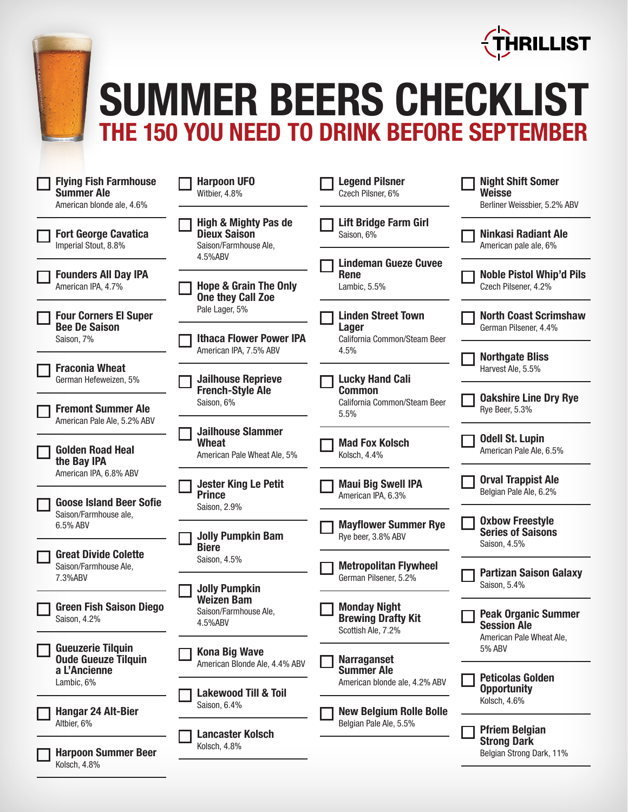

## **SUMMER BEERS CHECKLIST THE 150 YOU NEED TO DRINK BEFORE SEPTEMBER**

| <b>Flying Fish Farmhouse</b><br><b>Summer Ale</b><br>American blonde ale, 4.6% | <b>Harpoon UFO</b><br>Witbier, 4.8%                                             | <b>Legend Pilsner</b><br>Czech Pilsner, 6%                                | <b>Night Shift Somer</b><br><b>Weisse</b><br>Berliner Weissbier, 5.2% ABV |
|--------------------------------------------------------------------------------|---------------------------------------------------------------------------------|---------------------------------------------------------------------------|---------------------------------------------------------------------------|
| <b>Fort George Cavatica</b><br>Imperial Stout, 8.8%                            | <b>High &amp; Mighty Pas de</b><br><b>Dieux Saison</b><br>Saison/Farmhouse Ale, | <b>Lift Bridge Farm Girl</b><br>Saison, 6%                                | <b>Ninkasi Radiant Ale</b><br>American pale ale, 6%                       |
| <b>Founders All Day IPA</b><br>American IPA, 4.7%                              | 4.5%ABV<br><b>Hope &amp; Grain The Only</b><br><b>One they Call Zoe</b>         | <b>Lindeman Gueze Cuvee</b><br><b>Rene</b><br>Lambic, 5.5%                | <b>Noble Pistol Whip'd Pils</b><br>Czech Pilsener, 4.2%                   |
| <b>Four Corners El Super</b><br><b>Bee De Saison</b><br>Saison, 7%             | Pale Lager, 5%<br><b>Ithaca Flower Power IPA</b>                                | <b>Linden Street Town</b><br><b>Lager</b><br>California Common/Steam Beer | <b>North Coast Scrimshaw</b><br>German Pilsener, 4.4%                     |
| <b>Fraconia Wheat</b><br>German Hefeweizen, 5%                                 | American IPA, 7.5% ABV<br><b>Jailhouse Reprieve</b>                             | 4.5%<br><b>Lucky Hand Cali</b>                                            | <b>Northgate Bliss</b><br>Harvest Ale, 5.5%                               |
| <b>Fremont Summer Ale</b><br>American Pale Ale, 5.2% ABV                       | <b>French-Style Ale</b><br>Saison, 6%                                           | <b>Common</b><br>California Common/Steam Beer<br>5.5%                     | <b>Oakshire Line Dry Rye</b><br>Rye Beer, 5.3%                            |
| <b>Golden Road Heal</b><br>the Bay IPA                                         | <b>Jailhouse Slammer</b><br><b>Wheat</b><br>American Pale Wheat Ale, 5%         | <b>Mad Fox Kolsch</b><br>Kolsch, 4.4%                                     | <b>Odell St. Lupin</b><br>American Pale Ale, 6.5%                         |
| American IPA, 6.8% ABV<br><b>Goose Island Beer Sofie</b>                       | <b>Jester King Le Petit</b><br><b>Prince</b>                                    | <b>Maui Big Swell IPA</b><br>American IPA, 6.3%                           | <b>Orval Trappist Ale</b><br>Belgian Pale Ale, 6.2%                       |
| Saison/Farmhouse ale,<br>6.5% ABV                                              | Saison, 2.9%<br><b>Jolly Pumpkin Bam</b><br><b>Biere</b>                        | <b>Mayflower Summer Rye</b><br>Rye beer, 3.8% ABV                         | <b>Oxbow Freestyle</b><br><b>Series of Saisons</b><br>Saison, 4.5%        |
| <b>Great Divide Colette</b><br>Saison/Farmhouse Ale,<br>7.3%ABV                | Saison, 4.5%<br><b>Jolly Pumpkin</b>                                            | <b>Metropolitan Flywheel</b><br>German Pilsener, 5.2%                     | <b>Partizan Saison Galaxy</b><br>Saison, 5.4%                             |
| <b>Green Fish Saison Diego</b><br>Saison, 4.2%                                 | <b>Weizen Bam</b><br>Saison/Farmhouse Ale,<br>4.5%ABV                           | <b>Monday Night</b><br><b>Brewing Drafty Kit</b><br>Scottish Ale, 7.2%    | <b>Peak Organic Summer</b><br><b>Session Ale</b>                          |
| <b>Gueuzerie Tilquin</b><br><b>Oude Gueuze Tilquin</b><br>a L'Ancienne         | <b>Kona Big Wave</b><br>American Blonde Ale, 4.4% ABV                           | <b>Narraganset</b><br><b>Summer Ale</b>                                   | American Pale Wheat Ale,<br>5% ABV                                        |
| Lambic, 6%<br><b>Hangar 24 Alt-Bier</b>                                        | <b>Lakewood Till &amp; Toil</b><br>Saison, 6.4%                                 | American blonde ale, 4.2% ABV<br><b>New Belgium Rolle Bolle</b>           | <b>Peticolas Golden</b><br><b>Opportunity</b><br>Kolsch, 4.6%             |
| Altbier, 6%<br><b>Harpoon Summer Beer</b>                                      | <b>Lancaster Kolsch</b><br>Kolsch, 4.8%                                         | Belgian Pale Ale, 5.5%                                                    | <b>Pfriem Belgian</b><br><b>Strong Dark</b><br>Belgian Strong Dark, 11%   |
| Kolsch, 4.8%                                                                   |                                                                                 |                                                                           |                                                                           |